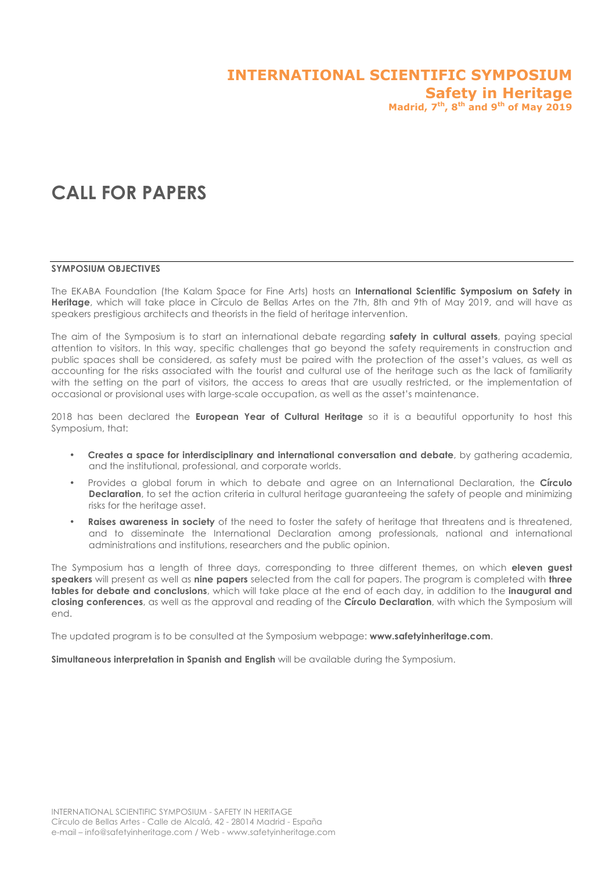# **INTERNATIONAL SCIENTIFIC SYMPOSIUM Safety in Heritage Madrid, 7th, 8th and 9th of May 2019**

# **CALL FOR PAPERS**

#### **SYMPOSIUM OBJECTIVES**

The EKABA Foundation (the Kalam Space for Fine Arts) hosts an **International Scientific Symposium on Safety in Heritage**, which will take place in Círculo de Bellas Artes on the 7th, 8th and 9th of May 2019, and will have as speakers prestigious architects and theorists in the field of heritage intervention.

The aim of the Symposium is to start an international debate regarding **safety in cultural assets**, paying special attention to visitors. In this way, specific challenges that go beyond the safety requirements in construction and public spaces shall be considered, as safety must be paired with the protection of the asset's values, as well as accounting for the risks associated with the tourist and cultural use of the heritage such as the lack of familiarity with the setting on the part of visitors, the access to areas that are usually restricted, or the implementation of occasional or provisional uses with large-scale occupation, as well as the asset's maintenance.

2018 has been declared the **European Year of Cultural Heritage** so it is a beautiful opportunity to host this Symposium, that:

- **Creates a space for interdisciplinary and international conversation and debate**, by gathering academia, and the institutional, professional, and corporate worlds.
- Provides a global forum in which to debate and agree on an International Declaration, the **Círculo Declaration**, to set the action criteria in cultural heritage guaranteeing the safety of people and minimizing risks for the heritage asset.
- **Raises awareness in society** of the need to foster the safety of heritage that threatens and is threatened, and to disseminate the International Declaration among professionals, national and international administrations and institutions, researchers and the public opinion.

The Symposium has a length of three days, corresponding to three different themes, on which **eleven guest speakers** will present as well as **nine papers** selected from the call for papers. The program is completed with **three tables for debate and conclusions**, which will take place at the end of each day, in addition to the **inaugural and closing conferences**, as well as the approval and reading of the **Círculo Declaration**, with which the Symposium will end.

The updated program is to be consulted at the Symposium webpage: **www.safetyinheritage.com**.

**Simultaneous interpretation in Spanish and English** will be available during the Symposium.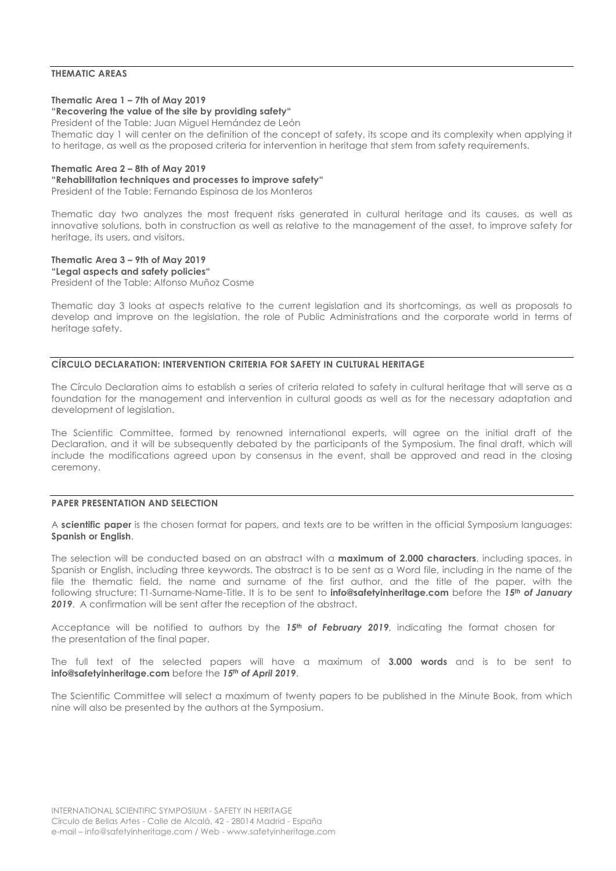# **THEMATIC AREAS**

#### **Thematic Area 1 – 7th of May 2019**

# **"Recovering the value of the site by providing safety"**

President of the Table: Juan Miguel Hernández de León Thematic day 1 will center on the definition of the concept of safety, its scope and its complexity when applying it to heritage, as well as the proposed criteria for intervention in heritage that stem from safety requirements.

#### **Thematic Area 2 – 8th of May 2019**

#### **"Rehabilitation techniques and processes to improve safety"**

President of the Table: Fernando Espinosa de los Monteros

Thematic day two analyzes the most frequent risks generated in cultural heritage and its causes, as well as innovative solutions, both in construction as well as relative to the management of the asset, to improve safety for heritage, its users, and visitors.

# **Thematic Area 3 – 9th of May 2019**

**"Legal aspects and safety policies"** President of the Table: Alfonso Muñoz Cosme

Thematic day 3 looks at aspects relative to the current legislation and its shortcomings, as well as proposals to develop and improve on the legislation, the role of Public Administrations and the corporate world in terms of heritage safety.

#### **CÍRCULO DECLARATION: INTERVENTION CRITERIA FOR SAFETY IN CULTURAL HERITAGE**

The Círculo Declaration aims to establish a series of criteria related to safety in cultural heritage that will serve as a foundation for the management and intervention in cultural goods as well as for the necessary adaptation and development of legislation.

The Scientific Committee, formed by renowned international experts, will agree on the initial draft of the Declaration, and it will be subsequently debated by the participants of the Symposium. The final draft, which will include the modifications agreed upon by consensus in the event, shall be approved and read in the closing ceremony.

#### **PAPER PRESENTATION AND SELECTION**

A **scientific paper** is the chosen format for papers, and texts are to be written in the official Symposium languages: **Spanish or English**.

The selection will be conducted based on an abstract with a **maximum of 2.000 characters**, including spaces, in Spanish or English, including three keywords. The abstract is to be sent as a Word file, including in the name of the file the thematic field, the name and surname of the first author, and the title of the paper, with the following structure: T1-Surname-Name-Title. It is to be sent to **info@safetyinheritage.com** before the *15th of January 2019*. A confirmation will be sent after the reception of the abstract.

Acceptance will be notified to authors by the *15th of February 2019*, indicating the format chosen for the presentation of the final paper.

The full text of the selected papers will have a maximum of **3.000 words** and is to be sent to **info@safetyinheritage.com** before the *15th of April 2019*.

The Scientific Committee will select a maximum of twenty papers to be published in the Minute Book, from which nine will also be presented by the authors at the Symposium.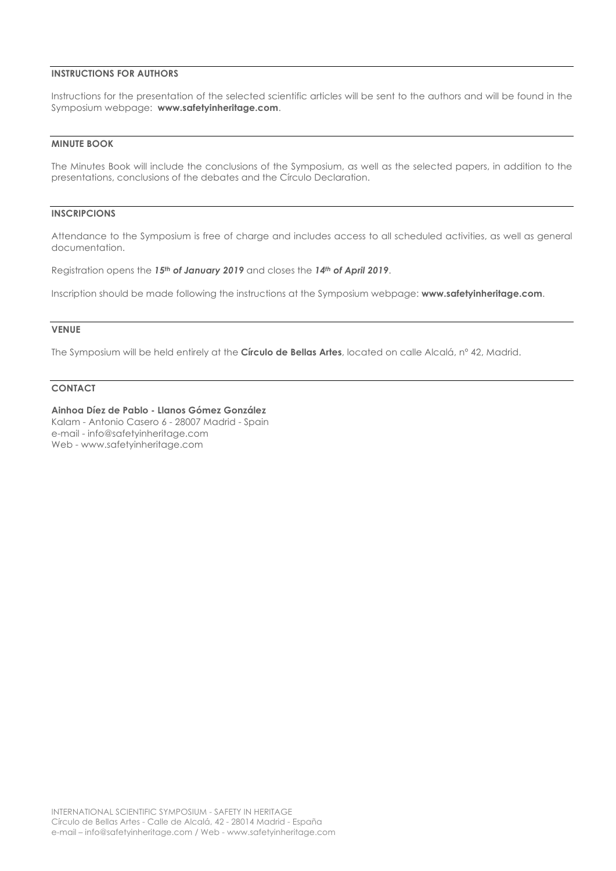# **INSTRUCTIONS FOR AUTHORS**

Instructions for the presentation of the selected scientific articles will be sent to the authors and will be found in the Symposium webpage: **www.safetyinheritage.com**.

#### **MINUTE BOOK**

The Minutes Book will include the conclusions of the Symposium, as well as the selected papers, in addition to the presentations, conclusions of the debates and the Círculo Declaration.

# **INSCRIPCIONS**

Attendance to the Symposium is free of charge and includes access to all scheduled activities, as well as general documentation.

Registration opens the *15th of January 2019* and closes the *14th of April 2019*.

Inscription should be made following the instructions at the Symposium webpage: **www.safetyinheritage.com**.

#### **VENUE**

The Symposium will be held entirely at the **Círculo de Bellas Artes**, located on calle Alcalá, nº 42, Madrid.

#### **CONTACT**

**Ainhoa Díez de Pablo - Llanos Gómez González**

Kalam - Antonio Casero 6 - 28007 Madrid - Spain e-mail - info@safetyinheritage.com Web - www.safetyinheritage.com